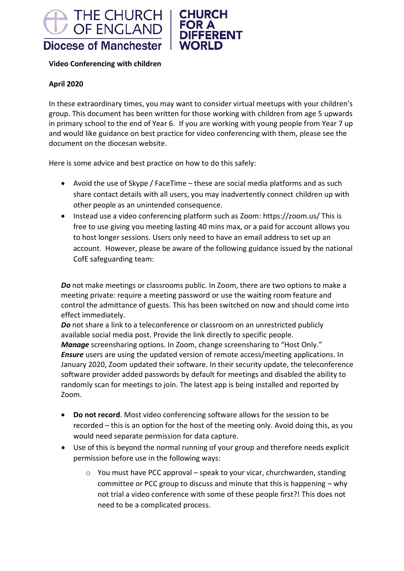



### **Video Conferencing with children**

#### **April 2020**

In these extraordinary times, you may want to consider virtual meetups with your children's group. This document has been written for those working with children from age 5 upwards in primary school to the end of Year 6. If you are working with young people from Year 7 up and would like guidance on best practice for video conferencing with them, please see the document on the diocesan website.

Here is some advice and best practice on how to do this safely:

- Avoid the use of Skype / FaceTime these are social media platforms and as such share contact details with all users, you may inadvertently connect children up with other people as an unintended consequence.
- Instead use a video conferencing platform such as Zoom: https://zoom.us/ This is free to use giving you meeting lasting 40 mins max, or a paid for account allows you to host longer sessions. Users only need to have an email address to set up an account. However, please be aware of the following guidance issued by the national CofE safeguarding team:

*Do* not make meetings or classrooms public. In Zoom, there are two options to make a meeting private: require a meeting password or use the waiting room feature and control the admittance of guests. This has been switched on now and should come into effect immediately.

*Do* not share a link to a teleconference or classroom on an unrestricted publicly available social media post. Provide the link directly to specific people.

*Manage* screensharing options. In Zoom, change screensharing to "Host Only." *Ensure* users are using the updated version of remote access/meeting applications. In January 2020, Zoom updated their software. In their security update, the teleconference software provider added passwords by default for meetings and disabled the ability to randomly scan for meetings to join. The latest app is being installed and reported by Zoom.

- **Do not record**. Most video conferencing software allows for the session to be recorded – this is an option for the host of the meeting only. Avoid doing this, as you would need separate permission for data capture.
- Use of this is beyond the normal running of your group and therefore needs explicit permission before use in the following ways:
	- o You must have PCC approval speak to your vicar, churchwarden, standing committee or PCC group to discuss and minute that this is happening – why not trial a video conference with some of these people first?! This does not need to be a complicated process.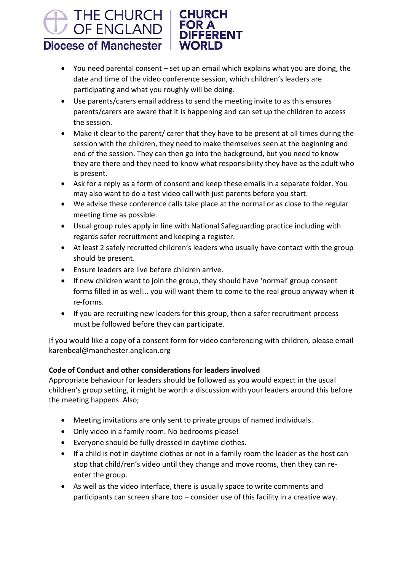#### THE CHURCH **CHURCH** OF ENGLAND **DIFFERENT Diocese of Manchester WORLD**

- You need parental consent set up an email which explains what you are doing, the date and time of the video conference session, which children's leaders are participating and what you roughly will be doing.
- Use parents/carers email address to send the meeting invite to as this ensures parents/carers are aware that it is happening and can set up the children to access the session.
- Make it clear to the parent/ carer that they have to be present at all times during the session with the children, they need to make themselves seen at the beginning and end of the session. They can then go into the background, but you need to know they are there and they need to know what responsibility they have as the adult who is present.
- Ask for a reply as a form of consent and keep these emails in a separate folder. You may also want to do a test video call with just parents before you start.
- We advise these conference calls take place at the normal or as close to the regular meeting time as possible.
- Usual group rules apply in line with National Safeguarding practice including with regards safer recruitment and keeping a register.
- At least 2 safely recruited children's leaders who usually have contact with the group should be present.
- Ensure leaders are live before children arrive.
- If new children want to join the group, they should have 'normal' group consent forms filled in as well… you will want them to come to the real group anyway when it re-forms.
- If you are recruiting new leaders for this group, then a safer recruitment process must be followed before they can participate.

If you would like a copy of a consent form for video conferencing with children, please email karenbeal@manchester.anglican.org

## **Code of Conduct and other considerations for leaders involved**

Appropriate behaviour for leaders should be followed as you would expect in the usual children's group setting, it might be worth a discussion with your leaders around this before the meeting happens. Also;

- Meeting invitations are only sent to private groups of named individuals.
- Only video in a family room. No bedrooms please!
- Everyone should be fully dressed in daytime clothes.
- If a child is not in daytime clothes or not in a family room the leader as the host can stop that child/ren's video until they change and move rooms, then they can reenter the group.
- As well as the video interface, there is usually space to write comments and participants can screen share too – consider use of this facility in a creative way.